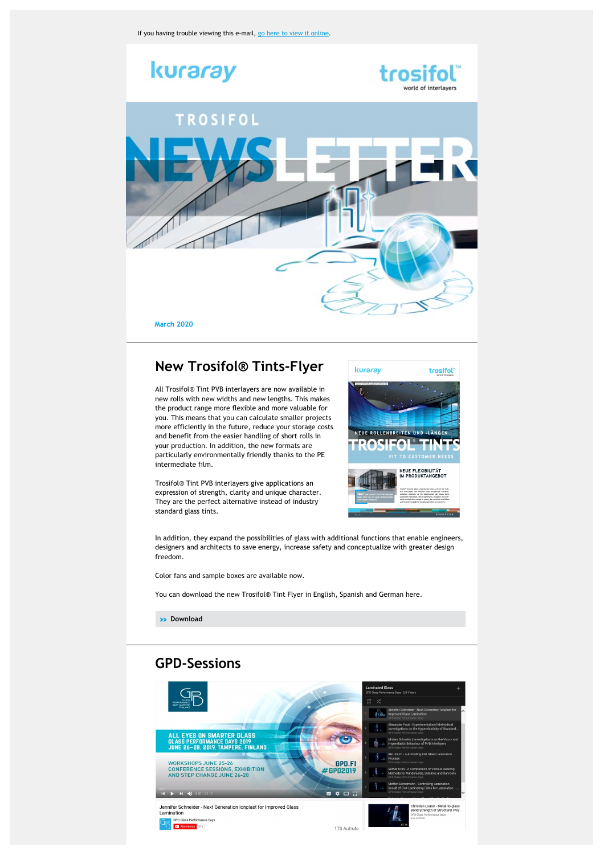

## **New Trosifol® Tints-Flyer**

All Trosifol® Tint PVB interlayers are now available in new rolls with new widths and new lengths. This makes the product range more flexible and more valuable for you. This means that you can calculate smaller projects more efficiently in the future, reduce your storage costs and benefit from the easier handling of short rolls in your production. In addition, the new formats are particularly environmentally friendly thanks to the PE intermediate film.

Trosifol® Tint PVB interlayers give applications an expression of strength, clarity and unique character. They are the perfect alternative instead of industry standard glass tints.



In addition, they expand the possibilities of glass with additional functions that enable engineers, designers and architects to save energy, increase safety and conceptualize with greater design

Color fans and sample boxes are available now.

You can download the new Trosifol® Tint Flyer in English, Spanish and German here.

**» [Download](https://www.trosifol.com/salessupport/downloads/further-brochures/)**

freedom.

# **GPD-Sessions**